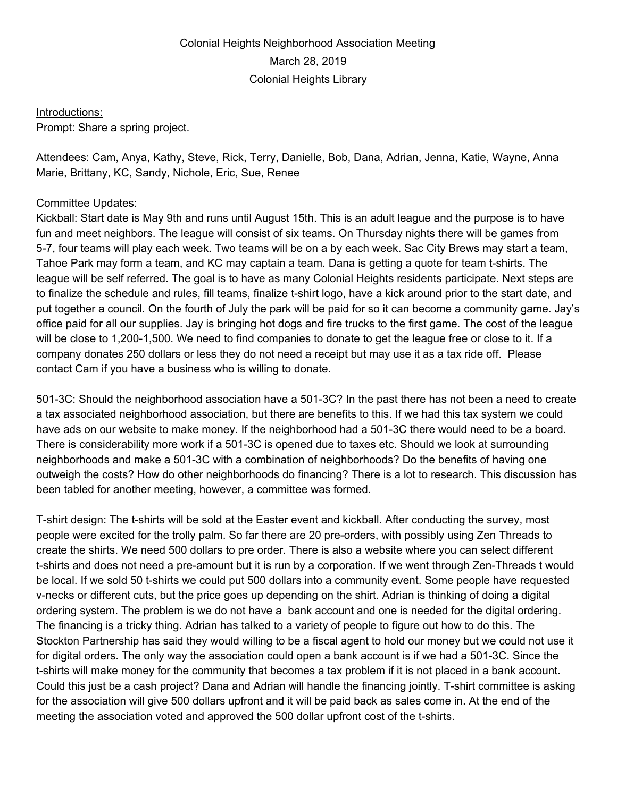## Colonial Heights Neighborhood Association Meeting March 28, 2019 Colonial Heights Library

## Introductions:

Prompt: Share a spring project.

Attendees: Cam, Anya, Kathy, Steve, Rick, Terry, Danielle, Bob, Dana, Adrian, Jenna, Katie, Wayne, Anna Marie, Brittany, KC, Sandy, Nichole, Eric, Sue, Renee

## Committee Updates:

Kickball: Start date is May 9th and runs until August 15th. This is an adult league and the purpose is to have fun and meet neighbors. The league will consist of six teams. On Thursday nights there will be games from 5-7, four teams will play each week. Two teams will be on a by each week. Sac City Brews may start a team, Tahoe Park may form a team, and KC may captain a team. Dana is getting a quote for team t-shirts. The league will be self referred. The goal is to have as many Colonial Heights residents participate. Next steps are to finalize the schedule and rules, fill teams, finalize t-shirt logo, have a kick around prior to the start date, and put together a council. On the fourth of July the park will be paid for so it can become a community game. Jay's office paid for all our supplies. Jay is bringing hot dogs and fire trucks to the first game. The cost of the league will be close to 1,200-1,500. We need to find companies to donate to get the league free or close to it. If a company donates 250 dollars or less they do not need a receipt but may use it as a tax ride off. Please contact Cam if you have a business who is willing to donate.

501-3C: Should the neighborhood association have a 501-3C? In the past there has not been a need to create a tax associated neighborhood association, but there are benefits to this. If we had this tax system we could have ads on our website to make money. If the neighborhood had a 501-3C there would need to be a board. There is considerability more work if a 501-3C is opened due to taxes etc. Should we look at surrounding neighborhoods and make a 501-3C with a combination of neighborhoods? Do the benefits of having one outweigh the costs? How do other neighborhoods do financing? There is a lot to research. This discussion has been tabled for another meeting, however, a committee was formed.

T-shirt design: The t-shirts will be sold at the Easter event and kickball. After conducting the survey, most people were excited for the trolly palm. So far there are 20 pre-orders, with possibly using Zen Threads to create the shirts. We need 500 dollars to pre order. There is also a website where you can select different t-shirts and does not need a pre-amount but it is run by a corporation. If we went through Zen-Threads t would be local. If we sold 50 t-shirts we could put 500 dollars into a community event. Some people have requested v-necks or different cuts, but the price goes up depending on the shirt. Adrian is thinking of doing a digital ordering system. The problem is we do not have a bank account and one is needed for the digital ordering. The financing is a tricky thing. Adrian has talked to a variety of people to figure out how to do this. The Stockton Partnership has said they would willing to be a fiscal agent to hold our money but we could not use it for digital orders. The only way the association could open a bank account is if we had a 501-3C. Since the t-shirts will make money for the community that becomes a tax problem if it is not placed in a bank account. Could this just be a cash project? Dana and Adrian will handle the financing jointly. T-shirt committee is asking for the association will give 500 dollars upfront and it will be paid back as sales come in. At the end of the meeting the association voted and approved the 500 dollar upfront cost of the t-shirts.